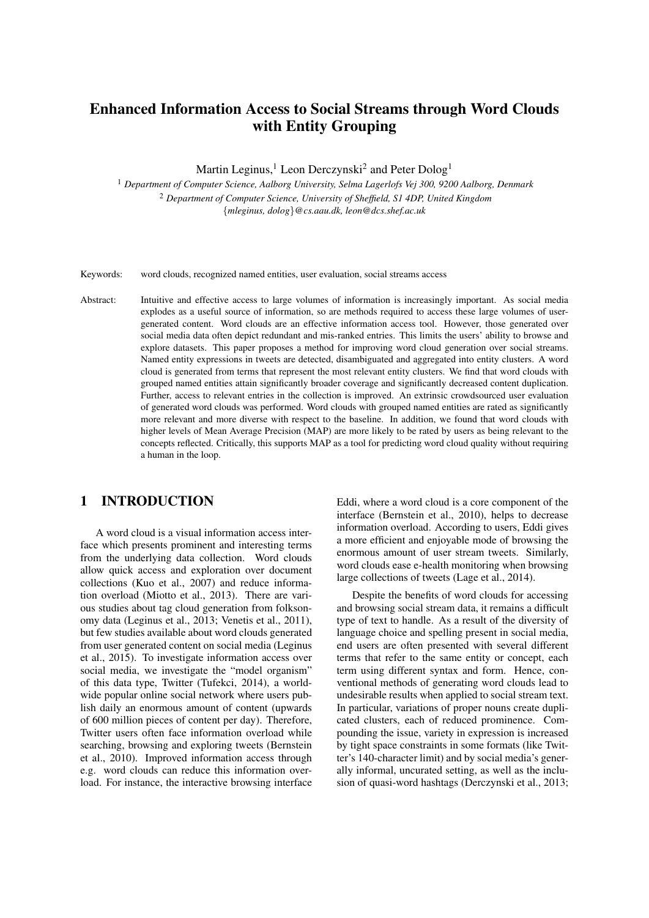# Enhanced Information Access to Social Streams through Word Clouds with Entity Grouping

Martin Leginus, $^1$  Leon Derczynski<sup>2</sup> and Peter Dolog<sup>1</sup>

<sup>1</sup> *Department of Computer Science, Aalborg University, Selma Lagerlofs Vej 300, 9200 Aalborg, Denmark* <sup>2</sup> *Department of Computer Science, University of Sheffield, S1 4DP, United Kingdom* {*mleginus, dolog*}*@cs.aau.dk, leon@dcs.shef.ac.uk*

Keywords: word clouds, recognized named entities, user evaluation, social streams access

Abstract: Intuitive and effective access to large volumes of information is increasingly important. As social media explodes as a useful source of information, so are methods required to access these large volumes of usergenerated content. Word clouds are an effective information access tool. However, those generated over social media data often depict redundant and mis-ranked entries. This limits the users' ability to browse and explore datasets. This paper proposes a method for improving word cloud generation over social streams. Named entity expressions in tweets are detected, disambiguated and aggregated into entity clusters. A word cloud is generated from terms that represent the most relevant entity clusters. We find that word clouds with grouped named entities attain significantly broader coverage and significantly decreased content duplication. Further, access to relevant entries in the collection is improved. An extrinsic crowdsourced user evaluation of generated word clouds was performed. Word clouds with grouped named entities are rated as significantly more relevant and more diverse with respect to the baseline. In addition, we found that word clouds with higher levels of Mean Average Precision (MAP) are more likely to be rated by users as being relevant to the concepts reflected. Critically, this supports MAP as a tool for predicting word cloud quality without requiring a human in the loop.

## 1 INTRODUCTION

A word cloud is a visual information access interface which presents prominent and interesting terms from the underlying data collection. Word clouds allow quick access and exploration over document collections (Kuo et al., 2007) and reduce information overload (Miotto et al., 2013). There are various studies about tag cloud generation from folksonomy data (Leginus et al., 2013; Venetis et al., 2011), but few studies available about word clouds generated from user generated content on social media (Leginus et al., 2015). To investigate information access over social media, we investigate the "model organism" of this data type, Twitter (Tufekci, 2014), a worldwide popular online social network where users publish daily an enormous amount of content (upwards of 600 million pieces of content per day). Therefore, Twitter users often face information overload while searching, browsing and exploring tweets (Bernstein et al., 2010). Improved information access through e.g. word clouds can reduce this information overload. For instance, the interactive browsing interface

Eddi, where a word cloud is a core component of the interface (Bernstein et al., 2010), helps to decrease information overload. According to users, Eddi gives a more efficient and enjoyable mode of browsing the enormous amount of user stream tweets. Similarly, word clouds ease e-health monitoring when browsing large collections of tweets (Lage et al., 2014).

Despite the benefits of word clouds for accessing and browsing social stream data, it remains a difficult type of text to handle. As a result of the diversity of language choice and spelling present in social media, end users are often presented with several different terms that refer to the same entity or concept, each term using different syntax and form. Hence, conventional methods of generating word clouds lead to undesirable results when applied to social stream text. In particular, variations of proper nouns create duplicated clusters, each of reduced prominence. Compounding the issue, variety in expression is increased by tight space constraints in some formats (like Twitter's 140-character limit) and by social media's generally informal, uncurated setting, as well as the inclusion of quasi-word hashtags (Derczynski et al., 2013;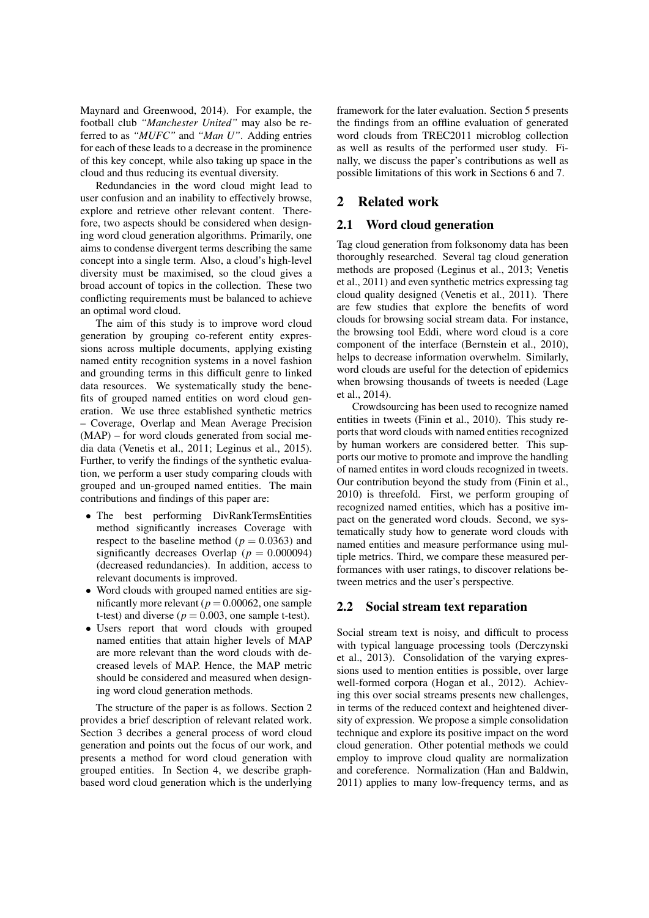Maynard and Greenwood, 2014). For example, the football club *"Manchester United"* may also be referred to as *"MUFC"* and *"Man U"*. Adding entries for each of these leads to a decrease in the prominence of this key concept, while also taking up space in the cloud and thus reducing its eventual diversity.

Redundancies in the word cloud might lead to user confusion and an inability to effectively browse, explore and retrieve other relevant content. Therefore, two aspects should be considered when designing word cloud generation algorithms. Primarily, one aims to condense divergent terms describing the same concept into a single term. Also, a cloud's high-level diversity must be maximised, so the cloud gives a broad account of topics in the collection. These two conflicting requirements must be balanced to achieve an optimal word cloud.

The aim of this study is to improve word cloud generation by grouping co-referent entity expressions across multiple documents, applying existing named entity recognition systems in a novel fashion and grounding terms in this difficult genre to linked data resources. We systematically study the benefits of grouped named entities on word cloud generation. We use three established synthetic metrics – Coverage, Overlap and Mean Average Precision (MAP) – for word clouds generated from social media data (Venetis et al., 2011; Leginus et al., 2015). Further, to verify the findings of the synthetic evaluation, we perform a user study comparing clouds with grouped and un-grouped named entities. The main contributions and findings of this paper are:

- The best performing DivRankTermsEntities method significantly increases Coverage with respect to the baseline method ( $p = 0.0363$ ) and significantly decreases Overlap ( $p = 0.000094$ ) (decreased redundancies). In addition, access to relevant documents is improved.
- Word clouds with grouped named entities are significantly more relevant ( $p = 0.00062$ , one sample t-test) and diverse ( $p = 0.003$ , one sample t-test).
- Users report that word clouds with grouped named entities that attain higher levels of MAP are more relevant than the word clouds with decreased levels of MAP. Hence, the MAP metric should be considered and measured when designing word cloud generation methods.

The structure of the paper is as follows. Section 2 provides a brief description of relevant related work. Section 3 decribes a general process of word cloud generation and points out the focus of our work, and presents a method for word cloud generation with grouped entities. In Section 4, we describe graphbased word cloud generation which is the underlying framework for the later evaluation. Section 5 presents the findings from an offline evaluation of generated word clouds from TREC2011 microblog collection as well as results of the performed user study. Finally, we discuss the paper's contributions as well as possible limitations of this work in Sections 6 and 7.

## 2 Related work

#### 2.1 Word cloud generation

Tag cloud generation from folksonomy data has been thoroughly researched. Several tag cloud generation methods are proposed (Leginus et al., 2013; Venetis et al., 2011) and even synthetic metrics expressing tag cloud quality designed (Venetis et al., 2011). There are few studies that explore the benefits of word clouds for browsing social stream data. For instance, the browsing tool Eddi, where word cloud is a core component of the interface (Bernstein et al., 2010), helps to decrease information overwhelm. Similarly, word clouds are useful for the detection of epidemics when browsing thousands of tweets is needed (Lage et al., 2014).

Crowdsourcing has been used to recognize named entities in tweets (Finin et al., 2010). This study reports that word clouds with named entities recognized by human workers are considered better. This supports our motive to promote and improve the handling of named entites in word clouds recognized in tweets. Our contribution beyond the study from (Finin et al., 2010) is threefold. First, we perform grouping of recognized named entities, which has a positive impact on the generated word clouds. Second, we systematically study how to generate word clouds with named entities and measure performance using multiple metrics. Third, we compare these measured performances with user ratings, to discover relations between metrics and the user's perspective.

### 2.2 Social stream text reparation

Social stream text is noisy, and difficult to process with typical language processing tools (Derczynski et al., 2013). Consolidation of the varying expressions used to mention entities is possible, over large well-formed corpora (Hogan et al., 2012). Achieving this over social streams presents new challenges, in terms of the reduced context and heightened diversity of expression. We propose a simple consolidation technique and explore its positive impact on the word cloud generation. Other potential methods we could employ to improve cloud quality are normalization and coreference. Normalization (Han and Baldwin, 2011) applies to many low-frequency terms, and as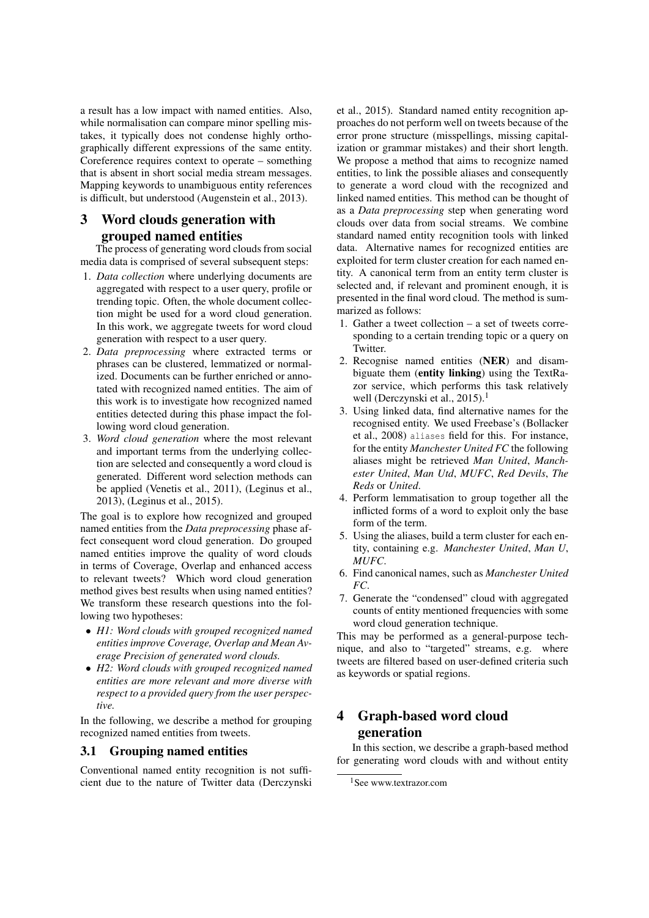a result has a low impact with named entities. Also, while normalisation can compare minor spelling mistakes, it typically does not condense highly orthographically different expressions of the same entity. Coreference requires context to operate – something that is absent in short social media stream messages. Mapping keywords to unambiguous entity references is difficult, but understood (Augenstein et al., 2013).

## 3 Word clouds generation with grouped named entities

The process of generating word clouds from social media data is comprised of several subsequent steps:

- 1. *Data collection* where underlying documents are aggregated with respect to a user query, profile or trending topic. Often, the whole document collection might be used for a word cloud generation. In this work, we aggregate tweets for word cloud generation with respect to a user query.
- 2. *Data preprocessing* where extracted terms or phrases can be clustered, lemmatized or normalized. Documents can be further enriched or annotated with recognized named entities. The aim of this work is to investigate how recognized named entities detected during this phase impact the following word cloud generation.
- 3. *Word cloud generation* where the most relevant and important terms from the underlying collection are selected and consequently a word cloud is generated. Different word selection methods can be applied (Venetis et al., 2011), (Leginus et al., 2013), (Leginus et al., 2015).

The goal is to explore how recognized and grouped named entities from the *Data preprocessing* phase affect consequent word cloud generation. Do grouped named entities improve the quality of word clouds in terms of Coverage, Overlap and enhanced access to relevant tweets? Which word cloud generation method gives best results when using named entities? We transform these research questions into the following two hypotheses:

- *H1: Word clouds with grouped recognized named entities improve Coverage, Overlap and Mean Average Precision of generated word clouds.*
- *H2: Word clouds with grouped recognized named entities are more relevant and more diverse with respect to a provided query from the user perspective.*

In the following, we describe a method for grouping recognized named entities from tweets.

## 3.1 Grouping named entities

Conventional named entity recognition is not sufficient due to the nature of Twitter data (Derczynski et al., 2015). Standard named entity recognition approaches do not perform well on tweets because of the error prone structure (misspellings, missing capitalization or grammar mistakes) and their short length. We propose a method that aims to recognize named entities, to link the possible aliases and consequently to generate a word cloud with the recognized and linked named entities. This method can be thought of as a *Data preprocessing* step when generating word clouds over data from social streams. We combine standard named entity recognition tools with linked data. Alternative names for recognized entities are exploited for term cluster creation for each named entity. A canonical term from an entity term cluster is selected and, if relevant and prominent enough, it is presented in the final word cloud. The method is summarized as follows:

- 1. Gather a tweet collection a set of tweets corresponding to a certain trending topic or a query on Twitter.
- 2. Recognise named entities (NER) and disambiguate them (entity linking) using the TextRazor service, which performs this task relatively well (Derczynski et al., 2015).<sup>1</sup>
- 3. Using linked data, find alternative names for the recognised entity. We used Freebase's (Bollacker et al., 2008) aliases field for this. For instance, for the entity *Manchester United FC* the following aliases might be retrieved *Man United*, *Manchester United*, *Man Utd*, *MUFC*, *Red Devils*, *The Reds* or *United*.
- 4. Perform lemmatisation to group together all the inflicted forms of a word to exploit only the base form of the term.
- 5. Using the aliases, build a term cluster for each entity, containing e.g. *Manchester United*, *Man U*, *MUFC*.
- 6. Find canonical names, such as *Manchester United FC*.
- 7. Generate the "condensed" cloud with aggregated counts of entity mentioned frequencies with some word cloud generation technique.

This may be performed as a general-purpose technique, and also to "targeted" streams, e.g. where tweets are filtered based on user-defined criteria such as keywords or spatial regions.

## 4 Graph-based word cloud generation

In this section, we describe a graph-based method for generating word clouds with and without entity

<sup>&</sup>lt;sup>1</sup>See www.textrazor.com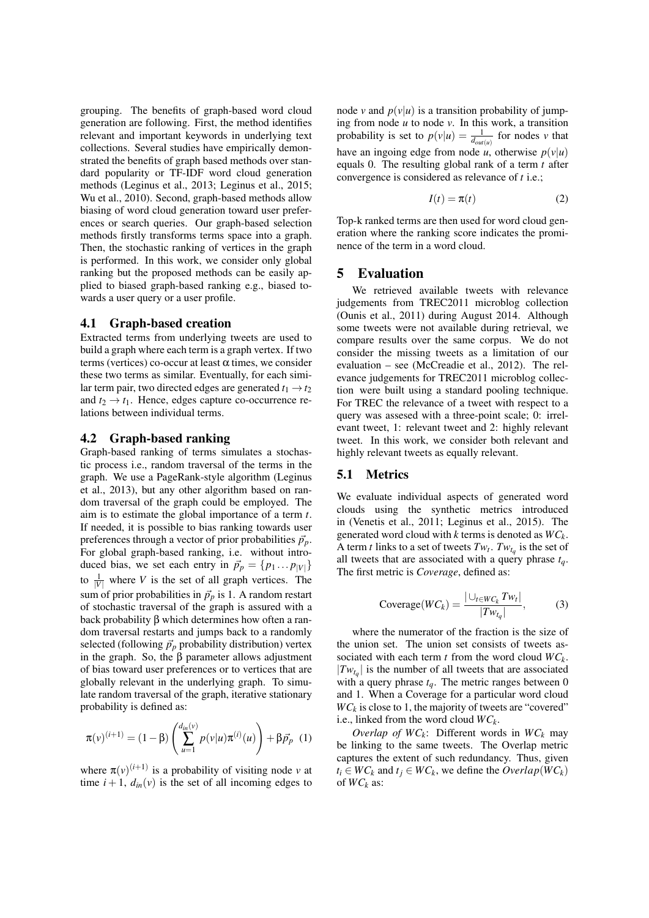grouping. The benefits of graph-based word cloud generation are following. First, the method identifies relevant and important keywords in underlying text collections. Several studies have empirically demonstrated the benefits of graph based methods over standard popularity or TF-IDF word cloud generation methods (Leginus et al., 2013; Leginus et al., 2015; Wu et al., 2010). Second, graph-based methods allow biasing of word cloud generation toward user preferences or search queries. Our graph-based selection methods firstly transforms terms space into a graph. Then, the stochastic ranking of vertices in the graph is performed. In this work, we consider only global ranking but the proposed methods can be easily applied to biased graph-based ranking e.g., biased towards a user query or a user profile.

#### 4.1 Graph-based creation

Extracted terms from underlying tweets are used to build a graph where each term is a graph vertex. If two terms (vertices) co-occur at least  $\alpha$  times, we consider these two terms as similar. Eventually, for each similar term pair, two directed edges are generated  $t_1 \rightarrow t_2$ and  $t_2 \rightarrow t_1$ . Hence, edges capture co-occurrence relations between individual terms.

#### 4.2 Graph-based ranking

Graph-based ranking of terms simulates a stochastic process i.e., random traversal of the terms in the graph. We use a PageRank-style algorithm (Leginus et al., 2013), but any other algorithm based on random traversal of the graph could be employed. The aim is to estimate the global importance of a term *t*. If needed, it is possible to bias ranking towards user preferences through a vector of prior probabilities  $\vec{p}_p$ . For global graph-based ranking, i.e. without introduced bias, we set each entry in  $\vec{p}_p = \{p_1 \dots p_{|V|}\}\$ to  $\frac{1}{|V|}$  where *V* is the set of all graph vertices. The sum of prior probabilities in  $\vec{p}_p$  is 1. A random restart of stochastic traversal of the graph is assured with a back probability β which determines how often a random traversal restarts and jumps back to a randomly selected (following  $\vec{p}_p$  probability distribution) vertex in the graph. So, the β parameter allows adjustment of bias toward user preferences or to vertices that are globally relevant in the underlying graph. To simulate random traversal of the graph, iterative stationary probability is defined as:

$$
\pi(\nu)^{(i+1)} = (1 - \beta) \left( \sum_{u=1}^{d_{in}(\nu)} p(\nu | u) \pi^{(i)}(u) \right) + \beta \vec{p}_p \tag{1}
$$

where  $\pi(v)^{(i+1)}$  is a probability of visiting node *v* at time  $i + 1$ ,  $d_{in}(v)$  is the set of all incoming edges to node *v* and  $p(v|u)$  is a transition probability of jumping from node *u* to node *v*. In this work, a transition probability is set to  $p(v|u) = \frac{1}{d_{out}(u)}$  for nodes *v* that have an ingoing edge from node *u*, otherwise  $p(v|u)$ equals 0. The resulting global rank of a term *t* after convergence is considered as relevance of *t* i.e.;

$$
I(t) = \pi(t) \tag{2}
$$

Top-k ranked terms are then used for word cloud generation where the ranking score indicates the prominence of the term in a word cloud.

#### 5 Evaluation

We retrieved available tweets with relevance judgements from TREC2011 microblog collection (Ounis et al., 2011) during August 2014. Although some tweets were not available during retrieval, we compare results over the same corpus. We do not consider the missing tweets as a limitation of our evaluation – see (McCreadie et al., 2012). The relevance judgements for TREC2011 microblog collection were built using a standard pooling technique. For TREC the relevance of a tweet with respect to a query was assesed with a three-point scale; 0: irrelevant tweet, 1: relevant tweet and 2: highly relevant tweet. In this work, we consider both relevant and highly relevant tweets as equally relevant.

#### 5.1 Metrics

We evaluate individual aspects of generated word clouds using the synthetic metrics introduced in (Venetis et al., 2011; Leginus et al., 2015). The generated word cloud with *k* terms is denoted as *WCk*. A term *t* links to a set of tweets  $Tw_t$ .  $Tw_{t_q}$  is the set of all tweets that are associated with a query phrase *tq*. The first metric is *Coverage*, defined as:

$$
\text{Coverage}(WC_k) = \frac{|\bigcup_{t \in WC_k} Tw_t|}{|Tw_{t_q}|},\tag{3}
$$

where the numerator of the fraction is the size of the union set. The union set consists of tweets associated with each term *t* from the word cloud *WCk*.  $|Tw_{t_q}|$  is the number of all tweets that are associated with a query phrase  $t_q$ . The metric ranges between 0 and 1. When a Coverage for a particular word cloud  $WC_k$  is close to 1, the majority of tweets are "covered" i.e., linked from the word cloud *WCk*.

*Overlap of WC<sub>k</sub>*: Different words in  $WC_k$  may be linking to the same tweets. The Overlap metric captures the extent of such redundancy. Thus, given  $t_i \in WC_k$  and  $t_i \in WC_k$ , we define the *Overlap*(*WC<sub>k</sub>*) of *WC<sup>k</sup>* as: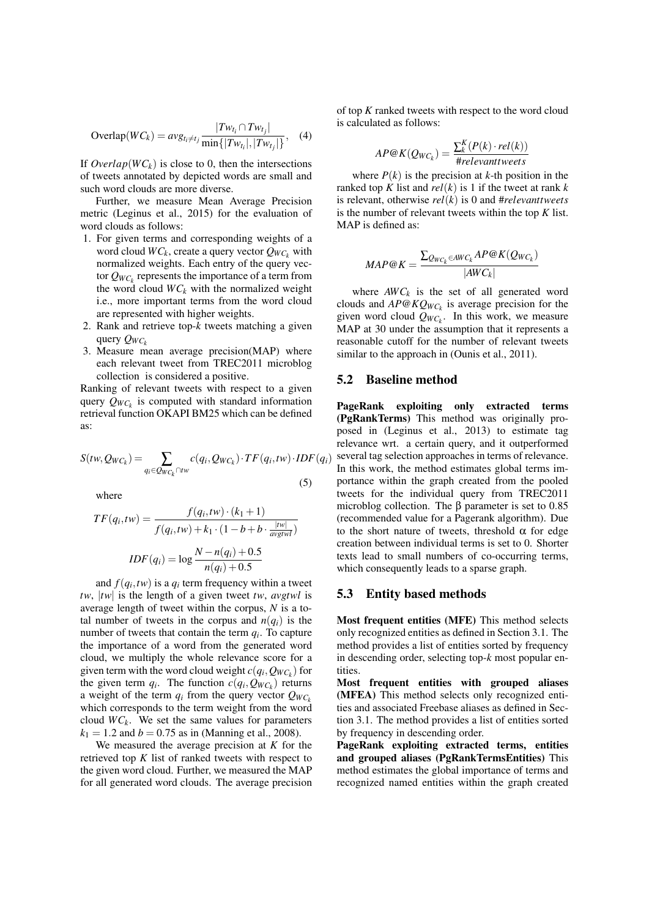$$
\text{Overlap}(WC_k) = avg_{t_i \neq t_j} \frac{|Tw_{t_i} \cap Tw_{t_j}|}{\min\{|Tw_{t_i}|, |Tw_{t_j}|\}}, \quad (4)
$$

If  $\text{Overlap}(W\text{C}_k)$  is close to 0, then the intersections of tweets annotated by depicted words are small and such word clouds are more diverse.

Further, we measure Mean Average Precision metric (Leginus et al., 2015) for the evaluation of word clouds as follows:

- 1. For given terms and corresponding weights of a word cloud  $WC_k$ , create a query vector  $Q_{WC_k}$  with normalized weights. Each entry of the query vector  $Q_{WC_k}$  represents the importance of a term from the word cloud  $WC_k$  with the normalized weight i.e., more important terms from the word cloud are represented with higher weights.
- 2. Rank and retrieve top-*k* tweets matching a given query  $Q_{WC_k}$
- 3. Measure mean average precision(MAP) where each relevant tweet from TREC2011 microblog collection is considered a positive.

Ranking of relevant tweets with respect to a given query  $Q_{WC_k}$  is computed with standard information retrieval function OKAPI BM25 which can be defined as:

$$
S(tw,Q_{WC_k}) = \sum_{q_i \in Q_{WC_k} \cap tw} c(q_i,Q_{WC_k}) \cdot TF(q_i,tw) \cdot IDF(q_i)
$$
\n
$$
(5)
$$

where

$$
TF(q_i, tw) = \frac{f(q_i, tw) \cdot (k_1 + 1)}{f(q_i, tw) + k_1 \cdot (1 - b + b \cdot \frac{|tw|}{avgtwl})}
$$

$$
IDF(q_i) = \log \frac{N - n(q_i) + 0.5}{n(q_i) + 0.5}
$$

and  $f(q_i, tw)$  is a  $q_i$  term frequency within a tweet *tw*, |*tw*| is the length of a given tweet *tw*, *avgtwl* is average length of tweet within the corpus, *N* is a total number of tweets in the corpus and  $n(q_i)$  is the number of tweets that contain the term *q<sup>i</sup>* . To capture the importance of a word from the generated word cloud, we multiply the whole relevance score for a given term with the word cloud weight  $c(q_i, Q_{WC_k})$  for the given term  $q_i$ . The function  $c(q_i, Q_{WC_k})$  returns a weight of the term  $q_i$  from the query vector  $Q_{WC_k}$ which corresponds to the term weight from the word cloud  $WC_k$ . We set the same values for parameters  $k_1 = 1.2$  and  $b = 0.75$  as in (Manning et al., 2008).

We measured the average precision at *K* for the retrieved top *K* list of ranked tweets with respect to the given word cloud. Further, we measured the MAP for all generated word clouds. The average precision of top *K* ranked tweets with respect to the word cloud is calculated as follows:

$$
AP@K(Q_{WC_k}) = \frac{\sum_{k}^{K} (P(k) \cdot rel(k))}{\text{trelevant tweets}}
$$

where  $P(k)$  is the precision at *k*-th position in the ranked top  $K$  list and  $rel(k)$  is 1 if the tweet at rank  $k$ is relevant, otherwise *rel*(*k*) is 0 and #*relevanttweets* is the number of relevant tweets within the top *K* list. MAP is defined as:

$$
MAP@K = \frac{\sum_{Q_{WC_k} \in AWC_k} AP@K(Q_{WC_k})}{|AWC_k|}
$$

where  $AWC_k$  is the set of all generated word clouds and *AP*@*KQWC<sup>k</sup>* is average precision for the given word cloud  $Q_{WC_k}$ . In this work, we measure MAP at 30 under the assumption that it represents a reasonable cutoff for the number of relevant tweets similar to the approach in (Ounis et al., 2011).

#### 5.2 Baseline method

PageRank exploiting only extracted terms (PgRankTerms) This method was originally proposed in (Leginus et al., 2013) to estimate tag relevance wrt. a certain query, and it outperformed several tag selection approaches in terms of relevance. In this work, the method estimates global terms importance within the graph created from the pooled tweets for the individual query from TREC2011 microblog collection. The  $\beta$  parameter is set to 0.85 (recommended value for a Pagerank algorithm). Due to the short nature of tweets, threshold  $\alpha$  for edge creation between individual terms is set to 0. Shorter texts lead to small numbers of co-occurring terms, which consequently leads to a sparse graph.

#### 5.3 Entity based methods

Most frequent entities (MFE) This method selects only recognized entities as defined in Section 3.1. The method provides a list of entities sorted by frequency in descending order, selecting top-*k* most popular entities.

Most frequent entities with grouped aliases (MFEA) This method selects only recognized entities and associated Freebase aliases as defined in Section 3.1. The method provides a list of entities sorted by frequency in descending order.

PageRank exploiting extracted terms, entities and grouped aliases (PgRankTermsEntities) This method estimates the global importance of terms and recognized named entities within the graph created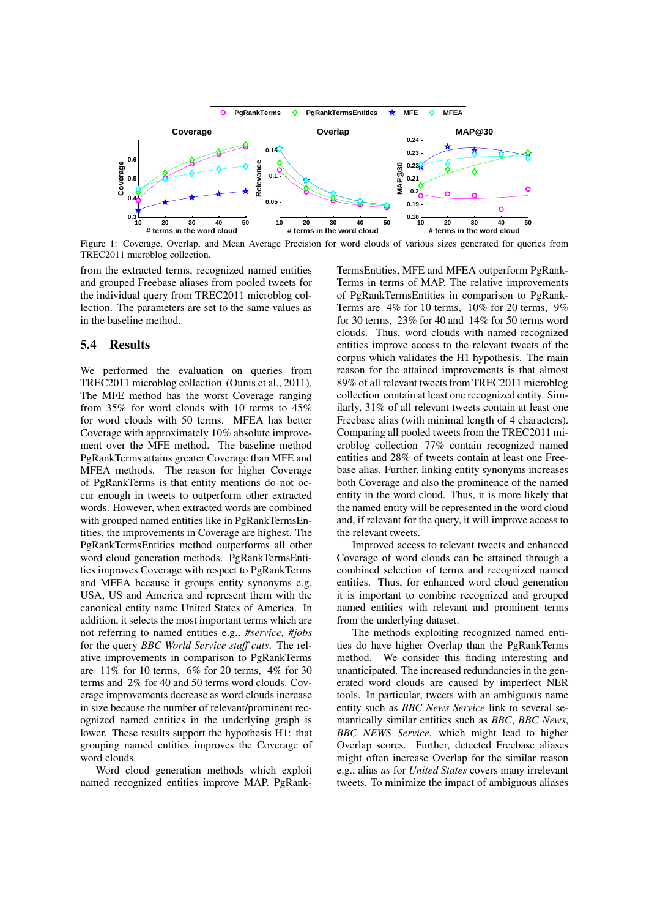

Figure 1: Coverage, Overlap, and Mean Average Precision for word clouds of various sizes generated for queries from TREC2011 microblog collection.

from the extracted terms, recognized named entities and grouped Freebase aliases from pooled tweets for the individual query from TREC2011 microblog collection. The parameters are set to the same values as in the baseline method.

#### 5.4 Results

We performed the evaluation on queries from TREC2011 microblog collection (Ounis et al., 2011). The MFE method has the worst Coverage ranging from 35% for word clouds with 10 terms to 45% for word clouds with 50 terms. MFEA has better Coverage with approximately 10% absolute improvement over the MFE method. The baseline method PgRankTerms attains greater Coverage than MFE and MFEA methods. The reason for higher Coverage of PgRankTerms is that entity mentions do not occur enough in tweets to outperform other extracted words. However, when extracted words are combined with grouped named entities like in PgRankTermsEntities, the improvements in Coverage are highest. The PgRankTermsEntities method outperforms all other word cloud generation methods. PgRankTermsEntities improves Coverage with respect to PgRankTerms and MFEA because it groups entity synonyms e.g. USA, US and America and represent them with the canonical entity name United States of America. In addition, it selects the most important terms which are not referring to named entities e.g., *#service*, *#jobs* for the query *BBC World Service staff cuts*. The relative improvements in comparison to PgRankTerms are 11% for 10 terms, 6% for 20 terms, 4% for 30 terms and 2% for 40 and 50 terms word clouds. Coverage improvements decrease as word clouds increase in size because the number of relevant/prominent recognized named entities in the underlying graph is lower. These results support the hypothesis H1: that grouping named entities improves the Coverage of word clouds.

Word cloud generation methods which exploit named recognized entities improve MAP. PgRankTermsEntities, MFE and MFEA outperform PgRank-Terms in terms of MAP. The relative improvements of PgRankTermsEntities in comparison to PgRank-Terms are 4% for 10 terms, 10% for 20 terms, 9% for 30 terms, 23% for 40 and 14% for 50 terms word clouds. Thus, word clouds with named recognized entities improve access to the relevant tweets of the corpus which validates the H1 hypothesis. The main reason for the attained improvements is that almost 89% of all relevant tweets from TREC2011 microblog collection contain at least one recognized entity. Similarly, 31% of all relevant tweets contain at least one Freebase alias (with minimal length of 4 characters). Comparing all pooled tweets from the TREC2011 microblog collection 77% contain recognized named entities and 28% of tweets contain at least one Freebase alias. Further, linking entity synonyms increases both Coverage and also the prominence of the named entity in the word cloud. Thus, it is more likely that the named entity will be represented in the word cloud and, if relevant for the query, it will improve access to the relevant tweets.

Improved access to relevant tweets and enhanced Coverage of word clouds can be attained through a combined selection of terms and recognized named entities. Thus, for enhanced word cloud generation it is important to combine recognized and grouped named entities with relevant and prominent terms from the underlying dataset.

The methods exploiting recognized named entities do have higher Overlap than the PgRankTerms method. We consider this finding interesting and unanticipated. The increased redundancies in the generated word clouds are caused by imperfect NER tools. In particular, tweets with an ambiguous name entity such as *BBC News Service* link to several semantically similar entities such as *BBC*, *BBC News*, *BBC NEWS Service*, which might lead to higher Overlap scores. Further, detected Freebase aliases might often increase Overlap for the similar reason e.g., alias *us* for *United States* covers many irrelevant tweets. To minimize the impact of ambiguous aliases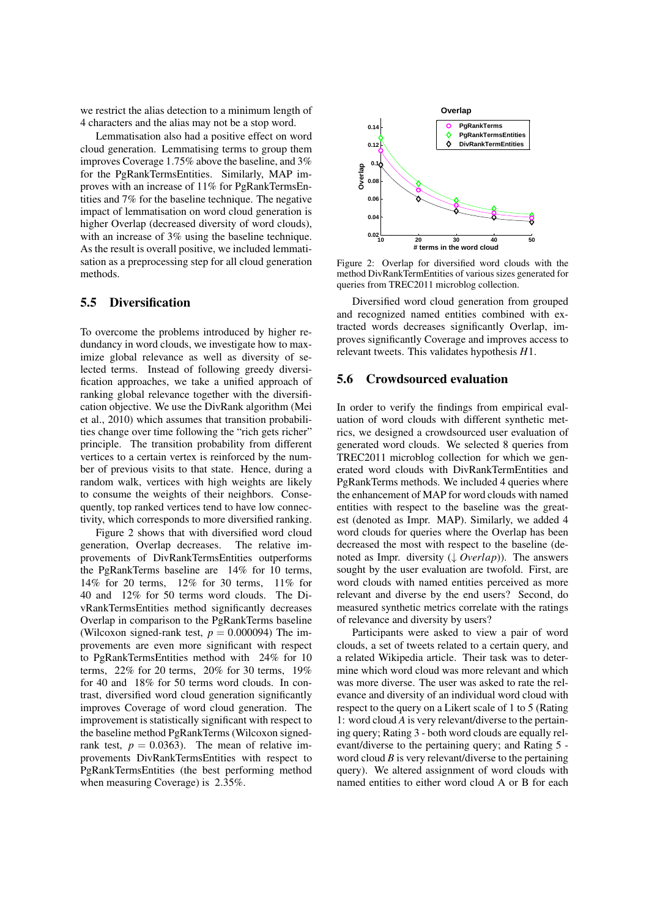we restrict the alias detection to a minimum length of 4 characters and the alias may not be a stop word.

Lemmatisation also had a positive effect on word cloud generation. Lemmatising terms to group them improves Coverage 1.75% above the baseline, and 3% for the PgRankTermsEntities. Similarly, MAP improves with an increase of 11% for PgRankTermsEntities and 7% for the baseline technique. The negative impact of lemmatisation on word cloud generation is higher Overlap (decreased diversity of word clouds), with an increase of 3% using the baseline technique. As the result is overall positive, we included lemmatisation as a preprocessing step for all cloud generation methods.

#### 5.5 Diversification

To overcome the problems introduced by higher redundancy in word clouds, we investigate how to maximize global relevance as well as diversity of selected terms. Instead of following greedy diversification approaches, we take a unified approach of ranking global relevance together with the diversification objective. We use the DivRank algorithm (Mei et al., 2010) which assumes that transition probabilities change over time following the "rich gets richer" principle. The transition probability from different vertices to a certain vertex is reinforced by the number of previous visits to that state. Hence, during a random walk, vertices with high weights are likely to consume the weights of their neighbors. Consequently, top ranked vertices tend to have low connectivity, which corresponds to more diversified ranking.

Figure 2 shows that with diversified word cloud generation, Overlap decreases. The relative improvements of DivRankTermsEntities outperforms the PgRankTerms baseline are 14% for 10 terms, 14% for 20 terms, 12% for 30 terms, 11% for 40 and 12% for 50 terms word clouds. The DivRankTermsEntities method significantly decreases Overlap in comparison to the PgRankTerms baseline (Wilcoxon signed-rank test,  $p = 0.000094$ ) The improvements are even more significant with respect to PgRankTermsEntities method with 24% for 10 terms, 22% for 20 terms, 20% for 30 terms, 19% for 40 and 18% for 50 terms word clouds. In contrast, diversified word cloud generation significantly improves Coverage of word cloud generation. The improvement is statistically significant with respect to the baseline method PgRankTerms (Wilcoxon signedrank test,  $p = 0.0363$ . The mean of relative improvements DivRankTermsEntities with respect to PgRankTermsEntities (the best performing method when measuring Coverage) is 2.35%.



Figure 2: Overlap for diversified word clouds with the method DivRankTermEntities of various sizes generated for queries from TREC2011 microblog collection.

Diversified word cloud generation from grouped and recognized named entities combined with extracted words decreases significantly Overlap, improves significantly Coverage and improves access to relevant tweets. This validates hypothesis *H*1.

#### 5.6 Crowdsourced evaluation

In order to verify the findings from empirical evaluation of word clouds with different synthetic metrics, we designed a crowdsourced user evaluation of generated word clouds. We selected 8 queries from TREC2011 microblog collection for which we generated word clouds with DivRankTermEntities and PgRankTerms methods. We included 4 queries where the enhancement of MAP for word clouds with named entities with respect to the baseline was the greatest (denoted as Impr. MAP). Similarly, we added 4 word clouds for queries where the Overlap has been decreased the most with respect to the baseline (denoted as Impr. diversity (↓ *Overlap*)). The answers sought by the user evaluation are twofold. First, are word clouds with named entities perceived as more relevant and diverse by the end users? Second, do measured synthetic metrics correlate with the ratings of relevance and diversity by users?

Participants were asked to view a pair of word clouds, a set of tweets related to a certain query, and a related Wikipedia article. Their task was to determine which word cloud was more relevant and which was more diverse. The user was asked to rate the relevance and diversity of an individual word cloud with respect to the query on a Likert scale of 1 to 5 (Rating 1: word cloud *A* is very relevant/diverse to the pertaining query; Rating 3 - both word clouds are equally relevant/diverse to the pertaining query; and Rating 5 word cloud *B* is very relevant/diverse to the pertaining query). We altered assignment of word clouds with named entities to either word cloud A or B for each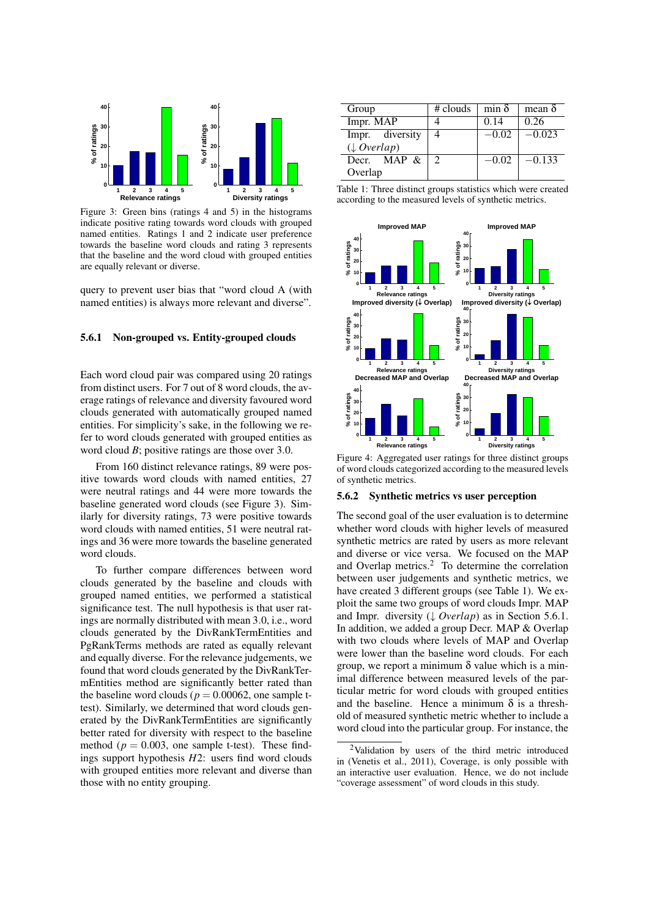

Figure 3: Green bins (ratings 4 and 5) in the histograms indicate positive rating towards word clouds with grouped named entities. Ratings 1 and 2 indicate user preference towards the baseline word clouds and rating 3 represents that the baseline and the word cloud with grouped entities are equally relevant or diverse.

query to prevent user bias that "word cloud A (with named entities) is always more relevant and diverse".

#### 5.6.1 Non-grouped vs. Entity-grouped clouds

Each word cloud pair was compared using 20 ratings from distinct users. For 7 out of 8 word clouds, the average ratings of relevance and diversity favoured word clouds generated with automatically grouped named entities. For simplicity's sake, in the following we refer to word clouds generated with grouped entities as word cloud *B*; positive ratings are those over 3.0.

From 160 distinct relevance ratings, 89 were positive towards word clouds with named entities, 27 were neutral ratings and 44 were more towards the baseline generated word clouds (see Figure 3). Similarly for diversity ratings, 73 were positive towards word clouds with named entities, 51 were neutral ratings and 36 were more towards the baseline generated word clouds.

To further compare differences between word clouds generated by the baseline and clouds with grouped named entities, we performed a statistical significance test. The null hypothesis is that user ratings are normally distributed with mean 3.0, i.e., word clouds generated by the DivRankTermEntities and PgRankTerms methods are rated as equally relevant and equally diverse. For the relevance judgements, we found that word clouds generated by the DivRankTermEntities method are significantly better rated than the baseline word clouds ( $p = 0.00062$ , one sample ttest). Similarly, we determined that word clouds generated by the DivRankTermEntities are significantly better rated for diversity with respect to the baseline method ( $p = 0.003$ , one sample t-test). These findings support hypothesis *H*2: users find word clouds with grouped entities more relevant and diverse than those with no entity grouping.

| Group                  | $#$ clouds | min $\delta$ | mean $\delta$       |
|------------------------|------------|--------------|---------------------|
| Impr. MAP              |            | 0.14         | 0.26                |
| Impr. diversity        |            | $-0.02$      | $-0.02\overline{3}$ |
| $(\downarrow$ Overlap) |            |              |                     |
| Decr. MAP $&$          |            | $-0.02$      | $-0.133$            |
| Overlap                |            |              |                     |

Table 1: Three distinct groups statistics which were created according to the measured levels of synthetic metrics.



Figure 4: Aggregated user ratings for three distinct groups of word clouds categorized according to the measured levels of synthetic metrics.

#### 5.6.2 Synthetic metrics vs user perception

The second goal of the user evaluation is to determine whether word clouds with higher levels of measured synthetic metrics are rated by users as more relevant and diverse or vice versa. We focused on the MAP and Overlap metrics.<sup>2</sup> To determine the correlation between user judgements and synthetic metrics, we have created 3 different groups (see Table 1). We exploit the same two groups of word clouds Impr. MAP and Impr. diversity (↓ *Overlap*) as in Section 5.6.1. In addition, we added a group Decr. MAP & Overlap with two clouds where levels of MAP and Overlap were lower than the baseline word clouds. For each group, we report a minimum  $\delta$  value which is a minimal difference between measured levels of the particular metric for word clouds with grouped entities and the baseline. Hence a minimum  $\delta$  is a threshold of measured synthetic metric whether to include a word cloud into the particular group. For instance, the

<sup>&</sup>lt;sup>2</sup>Validation by users of the third metric introduced in (Venetis et al., 2011), Coverage, is only possible with an interactive user evaluation. Hence, we do not include "coverage assessment" of word clouds in this study.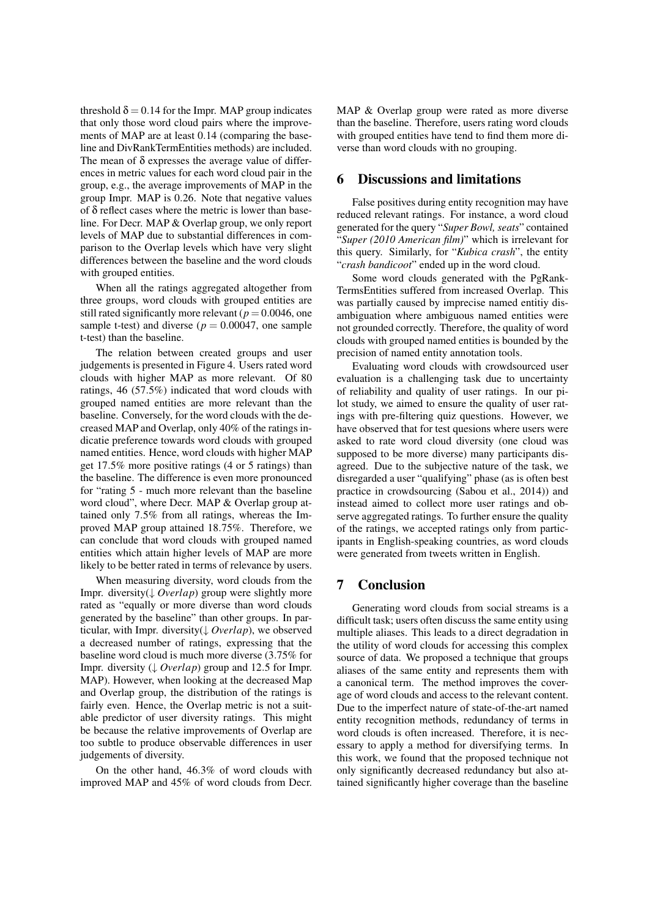threshold  $\delta = 0.14$  for the Impr. MAP group indicates that only those word cloud pairs where the improvements of MAP are at least 0.14 (comparing the baseline and DivRankTermEntities methods) are included. The mean of  $\delta$  expresses the average value of differences in metric values for each word cloud pair in the group, e.g., the average improvements of MAP in the group Impr. MAP is 0.26. Note that negative values of δ reflect cases where the metric is lower than baseline. For Decr. MAP & Overlap group, we only report levels of MAP due to substantial differences in comparison to the Overlap levels which have very slight differences between the baseline and the word clouds with grouped entities.

When all the ratings aggregated altogether from three groups, word clouds with grouped entities are still rated significantly more relevant ( $p = 0.0046$ , one sample t-test) and diverse ( $p = 0.00047$ , one sample t-test) than the baseline.

The relation between created groups and user judgements is presented in Figure 4. Users rated word clouds with higher MAP as more relevant. Of 80 ratings, 46 (57.5%) indicated that word clouds with grouped named entities are more relevant than the baseline. Conversely, for the word clouds with the decreased MAP and Overlap, only 40% of the ratings indicatie preference towards word clouds with grouped named entities. Hence, word clouds with higher MAP get 17.5% more positive ratings (4 or 5 ratings) than the baseline. The difference is even more pronounced for "rating 5 - much more relevant than the baseline word cloud", where Decr. MAP & Overlap group attained only 7.5% from all ratings, whereas the Improved MAP group attained 18.75%. Therefore, we can conclude that word clouds with grouped named entities which attain higher levels of MAP are more likely to be better rated in terms of relevance by users.

When measuring diversity, word clouds from the Impr. diversity(↓ *Overlap*) group were slightly more rated as "equally or more diverse than word clouds generated by the baseline" than other groups. In particular, with Impr. diversity(↓ *Overlap*), we observed a decreased number of ratings, expressing that the baseline word cloud is much more diverse (3.75% for Impr. diversity (↓ *Overlap*) group and 12.5 for Impr. MAP). However, when looking at the decreased Map and Overlap group, the distribution of the ratings is fairly even. Hence, the Overlap metric is not a suitable predictor of user diversity ratings. This might be because the relative improvements of Overlap are too subtle to produce observable differences in user judgements of diversity.

On the other hand, 46.3% of word clouds with improved MAP and 45% of word clouds from Decr. MAP & Overlap group were rated as more diverse than the baseline. Therefore, users rating word clouds with grouped entities have tend to find them more diverse than word clouds with no grouping.

## 6 Discussions and limitations

False positives during entity recognition may have reduced relevant ratings. For instance, a word cloud generated for the query "*Super Bowl, seats*" contained "*Super (2010 American film)*" which is irrelevant for this query. Similarly, for "*Kubica crash*", the entity "*crash bandicoot*" ended up in the word cloud.

Some word clouds generated with the PgRank-TermsEntities suffered from increased Overlap. This was partially caused by imprecise named entitiy disambiguation where ambiguous named entities were not grounded correctly. Therefore, the quality of word clouds with grouped named entities is bounded by the precision of named entity annotation tools.

Evaluating word clouds with crowdsourced user evaluation is a challenging task due to uncertainty of reliability and quality of user ratings. In our pilot study, we aimed to ensure the quality of user ratings with pre-filtering quiz questions. However, we have observed that for test quesions where users were asked to rate word cloud diversity (one cloud was supposed to be more diverse) many participants disagreed. Due to the subjective nature of the task, we disregarded a user "qualifying" phase (as is often best practice in crowdsourcing (Sabou et al., 2014)) and instead aimed to collect more user ratings and observe aggregated ratings. To further ensure the quality of the ratings, we accepted ratings only from participants in English-speaking countries, as word clouds were generated from tweets written in English.

## 7 Conclusion

Generating word clouds from social streams is a difficult task; users often discuss the same entity using multiple aliases. This leads to a direct degradation in the utility of word clouds for accessing this complex source of data. We proposed a technique that groups aliases of the same entity and represents them with a canonical term. The method improves the coverage of word clouds and access to the relevant content. Due to the imperfect nature of state-of-the-art named entity recognition methods, redundancy of terms in word clouds is often increased. Therefore, it is necessary to apply a method for diversifying terms. In this work, we found that the proposed technique not only significantly decreased redundancy but also attained significantly higher coverage than the baseline